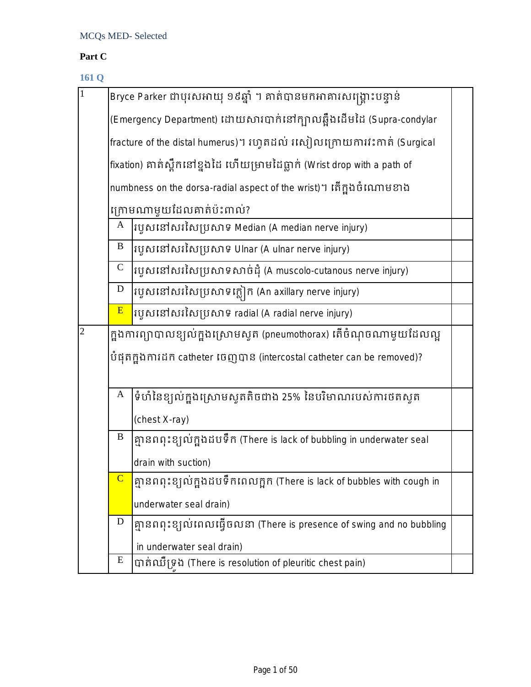## **Part C**

## **161 Q**

| $\,1\,$        |                                                                       | Bryce Parker ជាបុរសអាយុ ១៩ឆ្នាំ ។ គាត់បានមកអាគារសង្គ្រោះបន្ទាន់                                                                         |  |  |  |  |
|----------------|-----------------------------------------------------------------------|-----------------------------------------------------------------------------------------------------------------------------------------|--|--|--|--|
|                | (Emergency Department) ដោយសារបាក់នៅក្បាលឆ្អឹងដើមដៃ (Supra-condylar    |                                                                                                                                         |  |  |  |  |
|                | fracture of the distal humerus)។ រហូតដល់ រសៀលក្រោយការវះកាត់ (Surgical |                                                                                                                                         |  |  |  |  |
|                |                                                                       | $ $ fixation) គាត់ស្ពឹកនៅខ្នងដៃ ហើយម្រាមដៃធ្លាក់ (Wrist drop with a path of                                                             |  |  |  |  |
|                |                                                                       | numbness on the dorsa-radial aspect of the wrist)។ តើក្នុងចំណោមខាង                                                                      |  |  |  |  |
|                |                                                                       | ក្រោមណាមួយដែលគាត់ប៉ះពាល់?                                                                                                               |  |  |  |  |
|                | A                                                                     | របូសនៅសរសៃប្រសាទ Median (A median nerve injury)                                                                                         |  |  |  |  |
|                | B                                                                     | រហ្វូសនៅសរសៃប្រសាទ Ulnar (A ulnar nerve injury)                                                                                         |  |  |  |  |
|                | $\mathsf C$                                                           | របូសនៅសរសៃប្រសាទសាច់ដុំ (A muscolo-cutanous nerve injury)                                                                               |  |  |  |  |
|                | $\mathbf D$                                                           | $\left  \mathfrak{xy}\mathfrak{w}\mathfrak{ix}\mathfrak{ix}\mathfrak{xy}\mathfrak{xy}\mathfrak{xy}\right $ ក (An axillary nerve injury) |  |  |  |  |
|                | E                                                                     | របួសនៅសរសៃប្រសាទ radial (A radial nerve injury)                                                                                         |  |  |  |  |
| $\overline{2}$ |                                                                       | ក្នុងការព្យាបាលខ្យល់ក្នុងស្រោមស្ទួត (pneumothorax) តើចំណុចណាមួយដែលល្អ                                                                   |  |  |  |  |
|                |                                                                       | បំផុតក្នុងការដក catheter ចេញបាន (intercostal catheter can be removed)?                                                                  |  |  |  |  |
|                |                                                                       |                                                                                                                                         |  |  |  |  |
|                | A                                                                     | ទំហំនៃខ្យល់ក្នុងស្រោមស្ទូតតិចជាង 25% នៃបរិមាណរបស់ការថតសូត                                                                               |  |  |  |  |
|                |                                                                       | (chest X-ray)                                                                                                                           |  |  |  |  |
|                | $\, {\bf B}$                                                          | គ្មានពពុះខ្យល់ក្នុងដបទឹក (There is lack of bubbling in underwater seal                                                                  |  |  |  |  |
|                |                                                                       | drain with suction)                                                                                                                     |  |  |  |  |
|                |                                                                       | គ្មានពពុះខ្យល់ក្នុងដបទឹកពេលក្អក (There is lack of bubbles with cough in                                                                 |  |  |  |  |
|                |                                                                       | underwater seal drain)                                                                                                                  |  |  |  |  |
|                | D                                                                     | គ្មានពពុះខ្យល់ពេលធ្វើចលនា (There is presence of swing and no bubbling                                                                   |  |  |  |  |
|                |                                                                       | in underwater seal drain)                                                                                                               |  |  |  |  |
|                | E                                                                     | បាត់ឈឺទ្រង (There is resolution of pleuritic chest pain)                                                                                |  |  |  |  |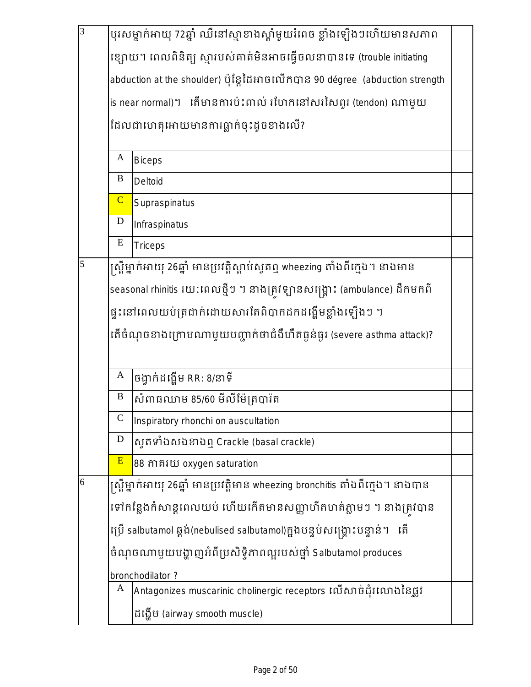| $\overline{3}$ | បុរសម្នាក់អាយុ 72ឆ្នាំ ឈឺនៅស្មាខាងស្តាំមួយរំពេច ខ្លាំងឡើងៗហើយមានសភាព           |                                                                                 |  |  |  |  |
|----------------|--------------------------------------------------------------------------------|---------------------------------------------------------------------------------|--|--|--|--|
|                |                                                                                | ខ្សោយ។ ពេលពិនិត្យ ស្មារបស់គាត់មិនអាចធ្វើចលនាបានទេ (trouble initiating           |  |  |  |  |
|                |                                                                                | abduction at the shoulder) ប៉ុន្តែដៃអាចលើកបាន 90 dégree (abduction strength     |  |  |  |  |
|                | is near normal)។ តើមានការប៉ះពាល់ រហែកនៅសរសៃពួរ (tendon) ណាមួយ                  |                                                                                 |  |  |  |  |
|                | ដែលជាហេតុអោយមានការធ្លាក់ចុះដូចខាងលើ?                                           |                                                                                 |  |  |  |  |
|                | A<br><b>Biceps</b>                                                             |                                                                                 |  |  |  |  |
|                | B                                                                              | Deltoid                                                                         |  |  |  |  |
|                | $\overline{C}$                                                                 | Supraspinatus                                                                   |  |  |  |  |
|                | ${\bf D}$                                                                      | Infraspinatus                                                                   |  |  |  |  |
|                | ${\bf E}$                                                                      | <b>Triceps</b>                                                                  |  |  |  |  |
| 5              |                                                                                | ស្ត្រីម្នាក់អាយុ 26ឆ្នាំ មានប្រវត្តិស្តាប់សូតឮ wheezing តាំងពីក្មេង។ នាងមាន     |  |  |  |  |
|                |                                                                                | seasonal rhinitis រយ:ពេលថ្មីៗ ។ នាងត្រូវឡានសង្គ្រោះ (ambulance) ដឹកមកពី         |  |  |  |  |
|                | ផ្ទុះនៅពេលយប់ត្រជាក់ដោយសារតែពិបាកដកដង្ហើមខ្លាំងឡើងៗ ។                          |                                                                                 |  |  |  |  |
|                | តើចំណុចខាងក្រោមណាមួយបញ្ជាក់ថាជំងឺហឺតធ្ងន់ធ្ងរ (severe asthma attack)?          |                                                                                 |  |  |  |  |
|                | A                                                                              | ចង្វាក់ដង្ហើម RR: 8/នាទី                                                        |  |  |  |  |
|                | $\, {\bf B}$                                                                   | សំពាធឈាម 85/60 មីលីម៉ែត្របារ៉ត                                                  |  |  |  |  |
|                | $\mathsf{C}$                                                                   | Inspiratory rhonchi on auscultation                                             |  |  |  |  |
|                | $\mathbf D$                                                                    | សូតទាំងសងខាងឮ Crackle (basal crackle)                                           |  |  |  |  |
|                | E                                                                              | 88 ភាគរយ oxygen saturation                                                      |  |  |  |  |
| 6              |                                                                                | ស្ត្រីម្នាក់អាយុ 26ឆ្នាំ មានប្រវត្តិមាន wheezing bronchitis តាំងពីក្មេង។ នាងបាន |  |  |  |  |
|                |                                                                                | ទៅកន្លែងកំសាន្តពេលយប់ ហើយកើតមានសញ្ញាហឺតហត់ភ្លាមៗ ។ នាងត្រវបាន                   |  |  |  |  |
|                | ប្រើ salbutamol ឆ្ពង់(nebulised salbutamol)ក្នុងបន្ទប់សង្គ្រោះបន្ទាន់។<br>្រតិ |                                                                                 |  |  |  |  |
|                | ចំណុចណាមួយបង្ហាញអំពីប្រសិទ្ធិភាពល្អរបស់ថ្នាំ Salbutamol produces               |                                                                                 |  |  |  |  |
|                |                                                                                | bronchodilator?                                                                 |  |  |  |  |
|                | A                                                                              | Antagonizes muscarinic cholinergic receptors លើសាច់ដុំរលោងនៃផ្លូវ               |  |  |  |  |
|                | ដង្ហើម (airway smooth muscle)                                                  |                                                                                 |  |  |  |  |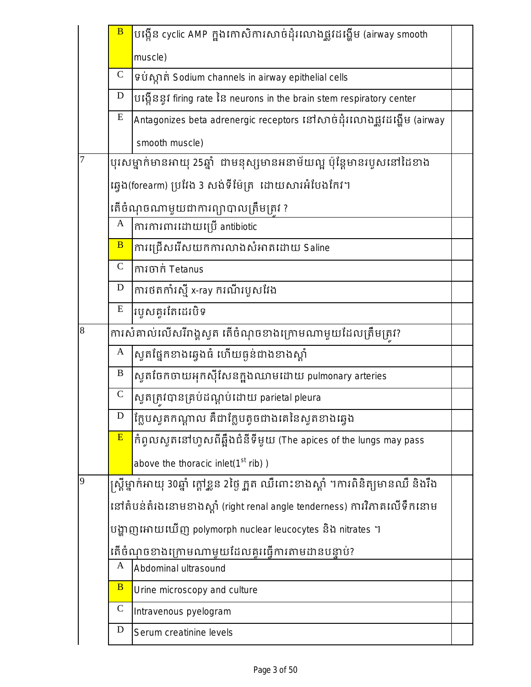|   | $\overline{B}$ | បង្កើន cyclic AMP ក្នុងកោសិការសាច់ដុំរលោងផ្លូវដង្ហើម (airway smooth                  |  |
|---|----------------|--------------------------------------------------------------------------------------|--|
|   |                | muscle)                                                                              |  |
|   | ${\bf C}$      | 9 ប់ស្កាត់ Sodium channels in airway epithelial cells                                |  |
|   | D              | បង្កើននូវ firing rate នៃ neurons in the brain stem respiratory center                |  |
|   | E              | Antagonizes beta adrenergic receptors នៅសាច់ដុំរលោងផ្លូវដង្ហើម (airway               |  |
|   |                | smooth muscle)                                                                       |  |
| 7 |                | បុរសម្នាក់មានអាយុ 25ឆ្នាំ  ជាមនុស្សមានអនាម័យល្អ ប៉ុន្តែមានរបូសនៅដៃខាង                |  |
|   |                | ឆ្វេង(forearm) ប្រវែង 3 សង់ទីម៉ែត្រ  ដោយសារអំបែងកែវ។                                 |  |
|   |                | តើចំណុចណាមួយជាការព្យាបាលត្រឹមត្រវ ?                                                  |  |
|   | $\mathbf A$    | ការការពារដោយប្រើ antibiotic                                                          |  |
|   | $\overline{B}$ | ការជ្រើសរើសយកការលាងសំអាតដោយ Saline                                                   |  |
|   | $\mathbf C$    | ការចាក់ Tetanus                                                                      |  |
|   | $\mathbf D$    | ការថតកាំរស្មី x-ray ករណីរបួសវែង                                                      |  |
|   | E              | របួសគូរតែដេរបិទ                                                                      |  |
| 8 |                | ការសំគាល់លើសរីរាង្គសូត តើចំណុចខាងក្រោមណាមួយដែលត្រឹមត្រវ?                             |  |
|   | A              | សូតផ្នែកខាងឆ្វេងធំ ហើយធ្ងន់ជាងខាងស្តាំ                                               |  |
|   | B              | ស្ទួតចែកចាយអុកស៊ីសែនក្នុងឈាមដោយ pulmonary arteries                                   |  |
|   | $\mathbf C$    | ស្ទួតត្រូវបានគ្រប់ដណ្តប់ដោយ parietal pleura                                          |  |
|   | D              | ក្លែបសូតកណ្តាល គឺជាក្លែបតូចជាងគេនៃសូតខាងឆ្វេង                                        |  |
|   | E              | កំពូលសូតនៅហូសពីឆ្អឹងជំនីទីមួយ (The apices of the lungs may pass                      |  |
|   |                | above the thoracic inlet( $1st$ rib))                                                |  |
| 9 |                | ស្ត្រីម្នាក់អាយុ 30ឆ្នាំ ក្តៅខ្លួន 2ថ្ងៃ ក្អួត ឈឺពោះខាងស្តាំ ។ការពិនិត្យមានឈឺ និងរឹង |  |
|   |                | នៅតំបន់តំរងនោមខាងស្ដាំ (right renal angle tenderness) ការវិភាគលើទឹកនោម               |  |
|   |                | បង្ហាញអោយឃើញ polymorph nuclear leucocytes និង nitrates ។                             |  |
|   |                | តើចំណុចខាងក្រោមណាមួយដែលគូរធ្វើការតាមដានបន្ទាប់?                                      |  |
|   | A              | Abdominal ultrasound                                                                 |  |
|   | $\overline{B}$ | Urine microscopy and culture                                                         |  |
|   | $\mathbf C$    | Intravenous pyelogram                                                                |  |
|   | D              | Serum creatinine levels                                                              |  |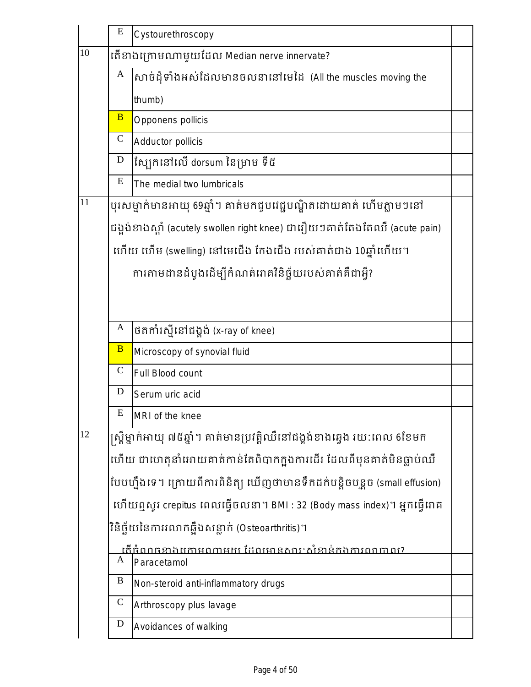|                                                  | E              | Cystourethroscopy                                                          |  |
|--------------------------------------------------|----------------|----------------------------------------------------------------------------|--|
| 10<br>តើខាងក្រោមណាមួយដែល Median nerve innervate? |                |                                                                            |  |
|                                                  | A              | សាច់ដុំទាំងអស់ដែលមានចលនានៅមេដៃ (All the muscles moving the                 |  |
|                                                  |                | thumb)                                                                     |  |
|                                                  | $\overline{B}$ | Opponens pollicis                                                          |  |
|                                                  | $\mathbf C$    | Adductor pollicis                                                          |  |
|                                                  | D              | ស្បែកនៅលើ dorsum នៃម្រាម ទី៥                                               |  |
|                                                  | E              | The medial two lumbricals                                                  |  |
| 11                                               |                | បុរសម្នាក់មានអាយុ 69ឆ្នាំ។ គាត់មកជួបវេជ្ជបណ្ឌិតដោយគាត់ ហើមភ្លាមៗនៅ         |  |
|                                                  |                | ជង្គង់ខាងស្ដាំ (acutely swollen right knee) ជារឿយៗគាត់តែងតែឈឺ (acute pain) |  |
|                                                  |                | ហើយ ហើម (swelling) នៅមេជើង កែងជើង របស់គាត់ជាង 10ឆ្នាំហើយ។                  |  |
|                                                  |                | ការតាមដានដំបូងដើម្បីកំណត់រោគវិនិច្ឆ័យរបស់គាត់គឺជាអ្វី?                     |  |
|                                                  |                |                                                                            |  |
|                                                  |                |                                                                            |  |
|                                                  | A              | ថតកាំរស្មីនៅជង្គង់ (x-ray of knee)                                         |  |
|                                                  | $\overline{B}$ | Microscopy of synovial fluid                                               |  |
|                                                  | $\mathbf C$    | Full Blood count                                                           |  |
|                                                  | D              | Serum uric acid                                                            |  |
|                                                  | ${\bf E}$      | MRI of the knee                                                            |  |
| 12                                               |                | ស្ត្រីម្នាក់អាយុ ៧៥ឆ្នាំ។ គាត់មានប្រវត្តិឈឺនៅជង្គង់ខាងឆ្វេង រយ:ពេល 6ខែមក   |  |
|                                                  |                | ហើយ ជាហេតុនាំអោយគាត់កាន់តែពិបាកក្នុងការដើរ ដែលពីមុនគាត់មិនធ្លាប់ឈឺ         |  |
|                                                  |                | បែបហ្នឹងទេ។ ក្រោយពីការពិនិត្យ យើញថាមានទឹកដក់បន្តិចបន្តួច (small effusion)  |  |
|                                                  |                | ហើយឮសូវ crepitus ពេលធ្វើចលនា។ BMI : 32 (Body mass index)។ អ្នកធ្វើរោគ      |  |
|                                                  |                | វិនិច្ឆ័យនៃការរលាកឆ្អឹងសន្លាក់ (Osteoarthritis)។                           |  |
|                                                  |                | <u> តើធំណធខាងកោមណាមយ ដែលមានសារៈសំខាន់កងការពណាល?</u>                        |  |
|                                                  | A              | Paracetamol                                                                |  |
|                                                  | B              | Non-steroid anti-inflammatory drugs                                        |  |
|                                                  | $\mathbf C$    | Arthroscopy plus lavage                                                    |  |
|                                                  | D              | Avoidances of walking                                                      |  |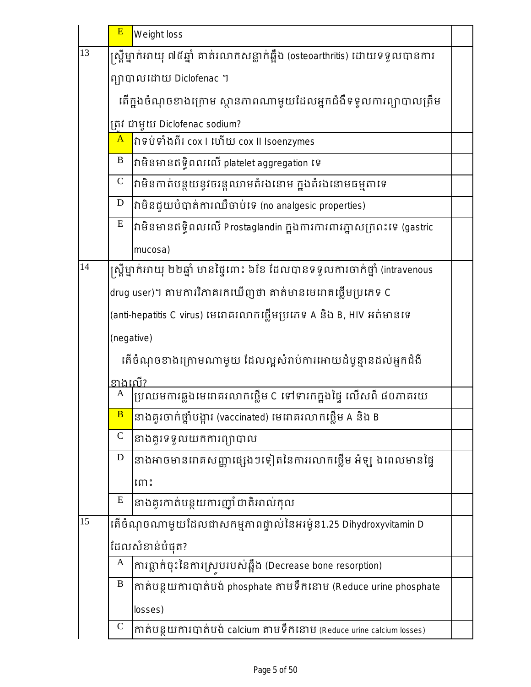|    | E                             | Weight loss                                                                  |  |  |  |
|----|-------------------------------|------------------------------------------------------------------------------|--|--|--|
| 13 |                               | ស្ត្រីម្នាក់អាយុ ៧៥ឆ្នាំ គាត់រលាកសន្លាក់ឆ្អឹង (osteoarthritis) ដោយទទួលបានការ |  |  |  |
|    |                               | ព្យាបាលដោយ Diclofenac ។                                                      |  |  |  |
|    |                               | តើក្នុងចំណុចខាងក្រោម ស្ថានភាពណាមួយដែលអ្នកជំងឺទទួលការព្យាបាលត្រឹម             |  |  |  |
|    | ត្រវ ជាមួយ Diclofenac sodium? |                                                                              |  |  |  |
|    | $\mathbf{A}$                  | វាទប់ទាំងពីរ cox l ហើយ cox ll Isoenzymes                                     |  |  |  |
|    | B                             | វាមិនមានឥទ្ធិពលលើ platelet aggregation ទេ                                    |  |  |  |
|    | $\mathsf{C}$                  | វាមិនកាត់បន្ថយនូវចរន្តឈាមតំរងនោម ក្នុងតំរងនោមធម្មតាទេ                        |  |  |  |
|    | $\mathbf D$                   | វាមិនជួយបំបាត់ការឈឺចាប់ទេ (no analgesic properties)                          |  |  |  |
|    | ${\bf E}$                     | វាមិនមានឥទ្ធិពលលើ Prostaglandin ក្នុងការការពារភ្នាសក្រពះទេ (gastric          |  |  |  |
|    |                               | mucosa)                                                                      |  |  |  |
| 14 |                               | ស្ត្រីម្នាក់អាយុ ២២ឆ្នាំ មានផ្ទៃពោះ ៦ខែ ដែលបានទទួលការចាក់ថ្នាំ (intravenous  |  |  |  |
|    |                               | drug user)។ តាមការវិភាគរកឃើញថា គាត់មានមេរោគថ្លើមប្រភេទ C                     |  |  |  |
|    |                               | (anti-hepatitis C virus) មេពាគរលាកថ្លើមប្រភេទ A និង B, HIV អត់មានទេ          |  |  |  |
|    | (negative)                    |                                                                              |  |  |  |
|    |                               | តើចំណុចខាងក្រោមណាមួយ ដែលល្អសំរាប់ការអោយដំបូន្មានដល់អ្នកជំងឺ                  |  |  |  |
|    | <u>ខា</u> ងពេី?               |                                                                              |  |  |  |
|    | A                             | ប្រឈមការឆ្លងមេរោគរលាកថ្លើម C ទៅទារកក្នុងផ្ទៃ លើសពី ៨០ភាគរយ                   |  |  |  |
|    | B                             | នាងគូរចាក់ថ្នាំបង្ការ (vaccinated) មេរោគរលាកថ្លើម A និង B                    |  |  |  |
|    | $\mathcal{C}$                 | នាងគួរទទួលយកការព្យាបាល                                                       |  |  |  |
|    | D                             | នាងអាចមានរោគសញ្ញាផ្សេងៗទៀតនៃការរលាកថ្លើម អំឡុ ងពេលមានផ្ទៃ                    |  |  |  |
|    |                               | ព្រោះ                                                                        |  |  |  |
|    | E                             | នាងគូរកាត់បន្ថយការញ៉ាំដាតិអាល់កុល                                            |  |  |  |
| 15 |                               | តើចំណុចណាមួយដែលជាសកម្មភាពផ្ទាល់នៃអរម៉ូន1.25 Dihydroxyvitamin D               |  |  |  |
|    |                               | ដែលសំខាន់បំផុត?                                                              |  |  |  |
|    | A                             | ការធ្លាក់ចុះនៃការស្របរបស់ឆ្អឹង (Decrease bone resorption)                    |  |  |  |
|    | $\, {\bf B}$                  | កាត់បន្ថយការបាត់បង់ phosphate តាមទឹកនោម (Reduce urine phosphate              |  |  |  |
|    |                               | losses)                                                                      |  |  |  |
|    | $\mathbf C$                   | កាត់បន្ថយការបាត់បង់ calcium តាមទឹកនោម (Reduce urine calcium losses)          |  |  |  |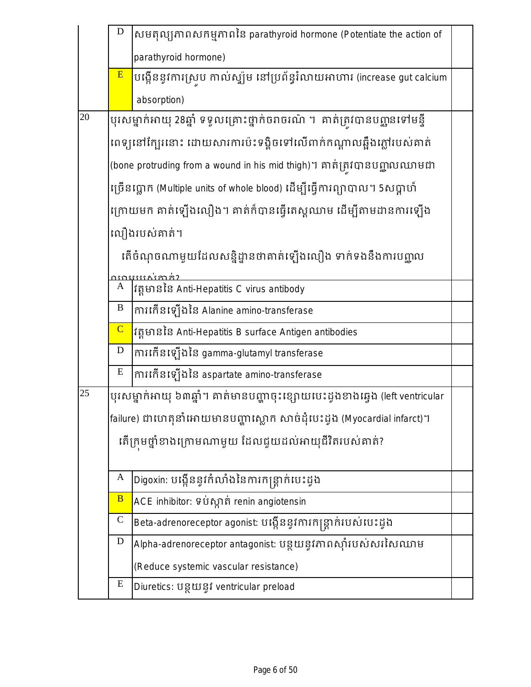|    | $\mathbf D$    | សមតុល្យភាពសកម្មភាពនៃ parathyroid hormone (Potentiate the action of           |  |
|----|----------------|------------------------------------------------------------------------------|--|
|    |                | parathyroid hormone)                                                         |  |
|    | E              | បង្កើននូវការស្រូប កាល់ស្ឃ៉ូម នៅប្រព័ន្ធរំលាយអាហារ (increase gut calcium      |  |
|    |                | absorption)                                                                  |  |
| 20 |                | បុរសម្នាក់អាយុ 28ឆ្នាំ ទទួលគ្រោះថ្នាក់ចរាចរណ៌ ។  គាត់ត្រវបានបញ្ជូនទៅមន្ទី    |  |
|    |                | ពេទ្យនៅក្បែរនោះ ដោយសារការប៉ះទង្គិចទៅលើពាក់កណ្តាលឆ្អឹងភ្លៅរបស់គាត់            |  |
|    |                | (bone protruding from a wound in his mid thigh)។ គាត់ត្រូវបានបញ្ហាលឈាមជា     |  |
|    |                | ច្រើនប្លោក (Multiple units of whole blood) ដើម្បីធ្វើការព្យាបាល។ 5សប្តាហ៍    |  |
|    |                | ក្រោយមក គាត់ឡើងលឿង។ គាត់ក៏បានធ្វើតេស្តឈាម ដើម្បីតាមដានការឡើង                 |  |
|    |                | លឿងរបស់គាត់។                                                                 |  |
|    |                | តើចំណុចណាមួយដែលសន្និដ្នានថាគាត់ឡើងលឿង ទាក់ទងនឹងការបញ្ហូល                     |  |
|    |                |                                                                              |  |
|    | A              | វត្តមាននៃ Anti-Hepatitis C virus antibody                                    |  |
|    | $\bf{B}$       | ការកើនឡើងនៃ Alanine amino-transferase                                        |  |
|    | $\overline{C}$ | វត្តមាននៃ Anti-Hepatitis B surface Antigen antibodies                        |  |
|    | D              | ការកើនឡើងនៃ gamma-glutamyl transferase                                       |  |
|    | E              | ការកើនឡើងនៃ aspartate amino-transferase                                      |  |
| 25 |                | បុរសម្នាក់អាយុ ៦៣ឆ្នាំ។ គាត់មានបញ្ហាចុះខ្សោយបេះដូងខាងឆ្វេង (left ventricular |  |
|    |                | failure) ជាហេតុនាំអោយមានបញ្ហាស្លោក សាច់ដុំបេះដូង (Myocardial infarct)។       |  |
|    |                | តើក្រុមថ្នាំខាងក្រោមណាមួយ ដែលជួយដល់អាយុជីវិតរបស់គាត់?                        |  |
|    |                |                                                                              |  |
|    | A              | Digoxin: បង្កើននូវកំលាំងនៃការកន្ត្រាក់បេះដូង                                 |  |
|    | $\overline{B}$ | ACE inhibitor: ទប់ស្កាត់ renin angiotensin                                   |  |
|    | $\mathsf{C}$   | Beta-adrenoreceptor agonist: បង្កើននូវការកន្ត្រាក់របស់បេះដូង                 |  |
|    | D              | Alpha-adrenoreceptor antagonist: បន្ថយនូវភាពស៊ាំរបស់សរសៃឈាម                  |  |
|    |                | (Reduce systemic vascular resistance)                                        |  |
|    | ${\bf E}$      | Diuretics: បន្ថយនូវ ventricular preload                                      |  |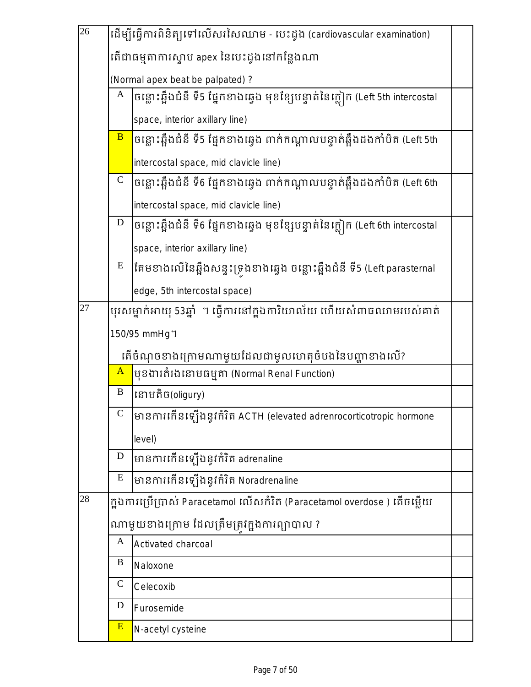| $\overline{26}$ | ដើម្បីធ្វើការពិនិត្យទៅលើសរសៃឈាម - បេះដូង (cardiovascular examination) |                                                                               |  |  |  |
|-----------------|-----------------------------------------------------------------------|-------------------------------------------------------------------------------|--|--|--|
|                 |                                                                       | តើជាធម្មតាការស្ទាប apex នៃបេះដូងនៅកន្លែងណា                                    |  |  |  |
|                 | (Normal apex beat be palpated) ?                                      |                                                                               |  |  |  |
|                 | A                                                                     | ចន្លោះឆ្អឹងជំនី ទី5 ផ្នែកខាងឆ្វេង មុខខ្សែបន្ទាត់នៃក្លៀក (Left 5th intercostal |  |  |  |
|                 |                                                                       | space, interior axillary line)                                                |  |  |  |
|                 | $\overline{B}$                                                        | ចន្លោះឆ្អឹងជំនី ទី5 ផ្នែកខាងឆ្វេង ពាក់កណ្តាលបន្ទាត់ឆ្អឹងដងកាំបិត (Left 5th    |  |  |  |
|                 |                                                                       | intercostal space, mid clavicle line)                                         |  |  |  |
|                 | $\mathbf C$                                                           | ចន្លោះឆ្អឹងជំនី ទី6 ផ្នែកខាងឆ្វេង ពាក់កណ្តាលបន្ទាត់ឆ្អឹងដងកាំបិត (Left 6th    |  |  |  |
|                 |                                                                       | intercostal space, mid clavicle line)                                         |  |  |  |
|                 | $\mathbf D$                                                           | ចន្លោះឆ្អឹងជំនី ទី6 ផ្នែកខាងឆ្វេង មុខខ្សែបន្ទាត់នៃក្លៀក (Left 6th intercostal |  |  |  |
|                 |                                                                       | space, interior axillary line)                                                |  |  |  |
|                 | ${\bf E}$                                                             | តែមខាងលើនៃឆ្អឹងសន្ទុះទ្រុងខាងឆ្វេង ចន្លោះឆ្អឹងជំនី ទី5 (Left parasternal      |  |  |  |
|                 |                                                                       | edge, 5th intercostal space)                                                  |  |  |  |
| 27              |                                                                       | បុរសម្នាក់អាយុ 53ឆ្នាំ  ។ ធ្វើការនៅក្នុងការិយាល័យ ហើយសំពាធឈាមរបស់គាត់         |  |  |  |
|                 |                                                                       | 150/95 mmHg 1                                                                 |  |  |  |
|                 |                                                                       | តើចំណុចខាងក្រោមណាមួយដែលជាមូលហេតុចំបងនៃបញ្ហាខាងលើ?                             |  |  |  |
|                 | $\mathbf{A}$                                                          | មុខងារតំរងនោមធម្មតា (Normal Renal Function)                                   |  |  |  |
|                 | $\, {\bf B}$                                                          | នោមតិច(oligury)                                                               |  |  |  |
|                 | $\mathsf{C}$                                                          | មានការកើនឡើងនូវកំរិត ACTH (elevated adrenrocorticotropic hormone              |  |  |  |
|                 |                                                                       | level)                                                                        |  |  |  |
|                 | D                                                                     | មានការកើនឡើងនូវកំរិត adrenaline                                               |  |  |  |
|                 | E                                                                     | មានការកើនឡើងនូវកំរិត Noradrenaline                                            |  |  |  |
| 28              |                                                                       | ក្នុងការប្រើប្រាស់ Paracetamol លើសកំរិត (Paracetamol overdose ) តើចម្លើយ      |  |  |  |
|                 | ណាមួយខាងក្រោម ដែលត្រឹមត្រវក្នុងការព្យាបាល ?                           |                                                                               |  |  |  |
|                 | A                                                                     | Activated charcoal                                                            |  |  |  |
|                 | $\bf{B}$                                                              | Naloxone                                                                      |  |  |  |
|                 | $\mathcal{C}$                                                         | Celecoxib                                                                     |  |  |  |
|                 | D                                                                     | Furosemide                                                                    |  |  |  |
|                 | E                                                                     | N-acetyl cysteine                                                             |  |  |  |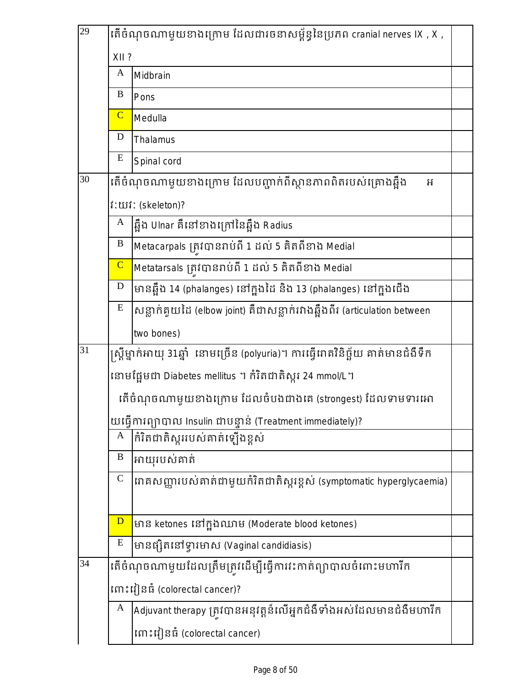| 29              |                | តើចំណុចណាមួយខាងក្រោម ដែលជារចនាសម្ព័ន្ធនៃប្រភព cranial nerves IX , X ,             |  |
|-----------------|----------------|-----------------------------------------------------------------------------------|--|
|                 | XII?           |                                                                                   |  |
|                 | $\mathbf{A}$   | Midbrain                                                                          |  |
|                 | $\bf{B}$       | Pons                                                                              |  |
|                 | $\overline{C}$ | Medulla                                                                           |  |
|                 | D              | Thalamus                                                                          |  |
|                 | E              | Spinal cord                                                                       |  |
| 30              |                | តើចំណុចណាមួយខាងក្រោម ដែលបញ្ជាក់ពីស្ថានភាពពិតរបស់គ្រោងឆ្អឹង<br>អ                   |  |
|                 |                | <b>i:</b> យរ៉: (skeleton)?                                                        |  |
|                 | A              | ឆ្អឹង Ulnar គឺនៅខាងក្រៅនៃឆ្អឹង Radius                                             |  |
|                 | B              | Metacarpals ត្រូវបានរាប់ពី 1 ដល់ 5 គិតពីខាង Medial                                |  |
|                 | $\overline{C}$ | Metatarsals ត្រូវបានរាប់ពី 1 ដល់ 5 គិតពីខាង Medial                                |  |
|                 | $\mathbf D$    | មានឆ្អឹង 14 (phalanges) នៅក្នុងដៃ និង 13 (phalanges) នៅក្នុងជើង                   |  |
|                 | E              | សន្លាក់គូយដៃ (elbow joint) គឺជាសន្លាក់រវាងឆ្អឹងពីរ (articulation between          |  |
|                 |                | two bones)                                                                        |  |
| $\overline{31}$ |                | ស្ត្រីម្នាក់អាយុ 31ឆ្នាំ  នោមច្រើន (polyuria)។ ការធ្វើរោគវិនិច្ឆ័យ គាត់មានជំងឺទឹក |  |
|                 |                | នោមផ្អែមជា Diabetes mellitus ។ កំរិតជាតិស្ករ 24 mmol/L។                           |  |
|                 |                | តើចំណុចណាមួយខាងក្រោម ដែលចំបងជាងគេ (strongest) ដែលទាមទារអោ                         |  |
|                 |                | យធ្វើការព្យាបាល Insulin ជាបន្ទាន់ (Treatment immediately)?                        |  |
|                 | A              | កំរិតជាតិស្កររបស់គាត់ឡើងខ្ពស់                                                     |  |
|                 | B              | អាយុរបស់គាត់                                                                      |  |
|                 | $\mathbf C$    | រោគសញ្ញារបស់គាត់ជាមួយកំរិតជាតិស្ករខ្ពស់ (symptomatic hyperglycaemia)              |  |
|                 |                |                                                                                   |  |
|                 | $\mathbf{D}$   | មាន ketones នៅក្នុងឈាម (Moderate blood ketones)                                   |  |
|                 | E              | មានផ្សិតនៅទ្វារមាស (Vaginal candidiasis)                                          |  |
| 34              |                | តើចំណុចណាមូយដែលត្រឹមត្រូវដើម្បីធ្វើការវះកាត់ព្យាបាលចំពោះមហារីក                    |  |
|                 |                | rm:រៀនធំ (colorectal cancer)?                                                     |  |
|                 | A              | Adjuvant therapy ត្រូវបានអនុវត្តន៍លើអ្នកជំងឺទាំងអស់ដែលមានជំងឺមហារីក               |  |
|                 |                | rm: រៀនធំ (colorectal cancer)                                                     |  |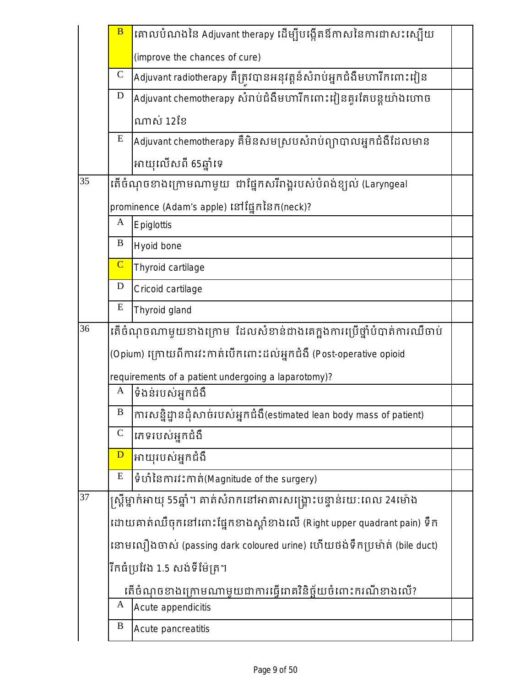|                 | $\overline{B}$ | គោលបំណងនៃ Adjuvant therapy ដើម្បីបង្កើតឪកាសនៃការជាសះស្បើយ              |  |
|-----------------|----------------|------------------------------------------------------------------------|--|
|                 |                | (improve the chances of cure)                                          |  |
|                 | $\mathsf C$    | Adjuvant radiotherapy គឺត្រូវបានអនុវត្តន៍សំរាប់អ្នកជំងឺមហារីកពោះវៀន    |  |
|                 | $\mathbf D$    | Adjuvant chemotherapy សំរាប់ជំងឺមហារីកពោះវៀនគូរតែបន្តយ៉ាងហោច           |  |
|                 |                | ណាស់ 12ខែ                                                              |  |
|                 | E              | Adjuvant chemotherapy គឺមិនសមស្របសំរាប់ព្យាបាលអ្នកជំងឺដែលមាន           |  |
|                 |                | អាយុលើសពី 65ឆ្នាំទេ                                                    |  |
| $\overline{35}$ |                | តើចំណុចខាងក្រោមណាមួយ ជាផ្នែកសរីរាង្គរបស់បំពង់ខ្យល់ (Laryngeal          |  |
|                 |                | prominence (Adam's apple) នៅផ្នែកនៃកក(neck)?                           |  |
|                 | A              | Epiglottis                                                             |  |
|                 | B              | Hyoid bone                                                             |  |
|                 | $\overline{C}$ | Thyroid cartilage                                                      |  |
|                 | $\mathbf D$    | Cricoid cartilage                                                      |  |
|                 | E              | Thyroid gland                                                          |  |
| 36              |                | តើចំណុចណាមួយខាងក្រោម ដែលសំខាន់ជាងគេក្នុងការប្រើថ្នាំបំបាត់ការឈឺចាប់    |  |
|                 |                | (Opium) ក្រោយពីការវះកាត់បើកពោះដល់អ្នកជំងឺ (Post-operative opioid       |  |
|                 |                | requirements of a patient undergoing a laparotomy)?                    |  |
|                 | A              | ទំងន់របស់អ្នកជំងឺ                                                      |  |
|                 | B              | ការសន្និដ្នានដុំសាច់របស់អ្នកដំងឺ(estimated lean body mass of patient)  |  |
|                 | $\mathcal{C}$  | រភទរបស់អ្នកជំងឺ                                                        |  |
|                 | $\overline{D}$ | អាយុរបស់អ្នកជំងឺ                                                       |  |
|                 | E              | ទំហំនៃការវះកាត់(Magnitude of the surgery)                              |  |
| 37              |                | ស្ត្រីម្នាក់អាយុ 55ឆ្នាំ។ គាត់សំរាកនៅអាគារសង្គ្រោះបន្ទាន់រយ:ពេល 24ម៉ោង |  |
|                 |                | ដោយគាត់ឈឺចុកនៅពោះផ្នែកខាងស្តាំខាងលើ (Right upper quadrant pain) ទឹក    |  |
|                 |                | នោមលឿងចាស់ (passing dark coloured urine) ហើយថង់ទឹកប្រម៉ាត់ (bile duct) |  |
|                 |                | រីកធំប្រវែង 1.5 សង់ទីម៉ែត្រ។                                           |  |
|                 |                | តើចំណុចខាងក្រោមណាមួយជាការធ្វើរោគវិនិច្ឆ័យចំពោះករណីខាងលើ?               |  |
|                 | A              | Acute appendicitis                                                     |  |
|                 | B              | Acute pancreatitis                                                     |  |